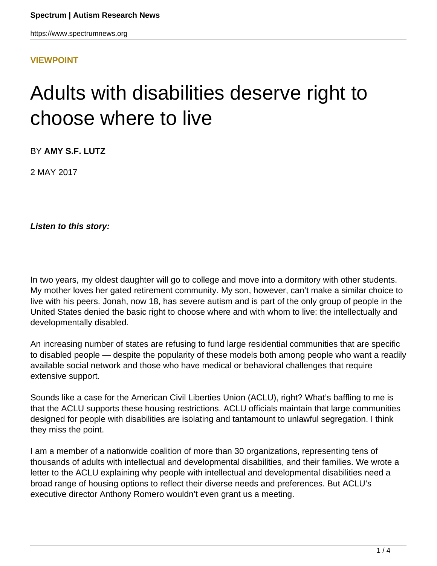#### **[VIEWPOINT](HTTPS://WWW.SPECTRUMNEWS.ORG/OPINION/VIEWPOINT/)**

# Adults with disabilities deserve right to choose where to live

BY **AMY S.F. LUTZ**

2 MAY 2017

**Listen to this story:**

In two years, my oldest daughter will go to college and move into a dormitory with other students. My mother loves her gated retirement community. My son, however, can't make a similar choice to live with his peers. Jonah, now 18, has severe autism and is part of the only group of people in the United States denied the basic right to choose where and with whom to live: the intellectually and developmentally disabled.

An increasing number of states are refusing to fund large residential communities that are specific to disabled people — despite the popularity of these models both among people who want a readily available social network and those who have medical or behavioral challenges that require extensive support.

Sounds like a case for the American Civil Liberties Union (ACLU), right? What's baffling to me is that the ACLU supports these housing restrictions. ACLU officials maintain that large communities designed for people with disabilities are isolating and tantamount to unlawful segregation. I think they miss the point.

I am a member of a nationwide coalition of more than 30 organizations, representing tens of thousands of adults with intellectual and developmental disabilities, and their families. We wrote a letter to the ACLU explaining why people with intellectual and developmental disabilities need a broad range of housing options to reflect their diverse needs and preferences. But ACLU's executive director Anthony Romero wouldn't even grant us a meeting.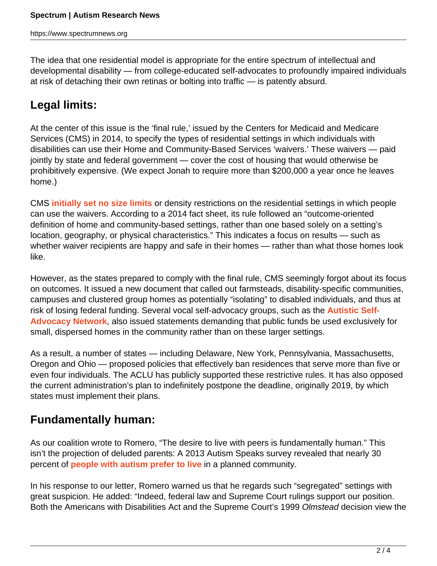The idea that one residential model is appropriate for the entire spectrum of intellectual and developmental disability — from college-educated self-advocates to profoundly impaired individuals at risk of detaching their own retinas or bolting into traffic — is patently absurd.

### **Legal limits:**

At the center of this issue is the 'final rule,' issued by the Centers for Medicaid and Medicare Services (CMS) in 2014, to specify the types of residential settings in which individuals with disabilities can use their Home and Community-Based Services 'waivers.' These waivers — paid jointly by state and federal government - cover the cost of housing that would otherwise be prohibitively expensive. (We expect Jonah to require more than \$200,000 a year once he leaves home.)

CMS **[initially set no size limits](https://www.medicaid.gov/medicaid/hcbs/downloads/hcbs-setting-fact-sheet.pdf)** or density restrictions on the residential settings in which people can use the waivers. According to a 2014 fact sheet, its rule followed an "outcome-oriented definition of home and community-based settings, rather than one based solely on a setting's location, geography, or physical characteristics." This indicates a focus on results — such as whether waiver recipients are happy and safe in their homes — rather than what those homes look like.

However, as the states prepared to comply with the final rule, CMS seemingly forgot about its focus on outcomes. It issued a new document that called out farmsteads, disability-specific communities, campuses and clustered group homes as potentially "isolating" to disabled individuals, and thus at risk of losing federal funding. Several vocal self-advocacy groups, such as the **[Autistic Self-](http://autisticadvocacy.org/)[Advocacy Network](http://autisticadvocacy.org/)**, also issued statements demanding that public funds be used exclusively for small, dispersed homes in the community rather than on these larger settings.

As a result, a number of states — including Delaware, New York, Pennsylvania, Massachusetts, Oregon and Ohio — proposed policies that effectively ban residences that serve more than five or even four individuals. The ACLU has publicly supported these restrictive rules. It has also opposed the current administration's plan to indefinitely postpone the deadline, originally 2019, by which states must implement their plans.

### **Fundamentally human:**

As our coalition wrote to Romero, "The desire to live with peers is fundamentally human." This isn't the projection of deluded parents: A 2013 Autism Speaks survey revealed that nearly 30 percent of **[people with autism prefer to live](https://www.autismspeaks.org/sites/default/files/docs/2013_national_housing_survey.pdf)** in a planned community.

In his response to our letter, Romero warned us that he regards such "segregated" settings with great suspicion. He added: "Indeed, federal law and Supreme Court rulings support our position. Both the Americans with Disabilities Act and the Supreme Court's 1999 Olmstead decision view the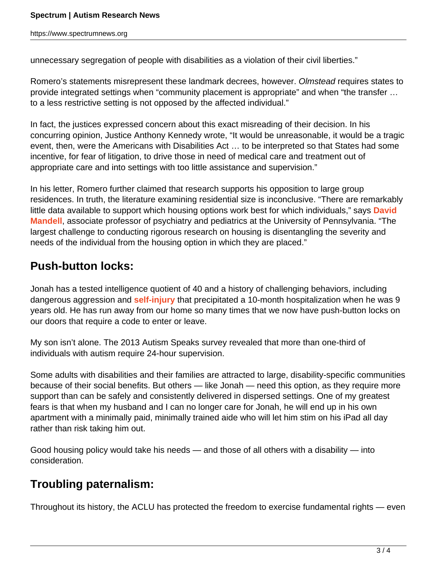unnecessary segregation of people with disabilities as a violation of their civil liberties."

Romero's statements misrepresent these landmark decrees, however. Olmstead requires states to provide integrated settings when "community placement is appropriate" and when "the transfer … to a less restrictive setting is not opposed by the affected individual."

In fact, the justices expressed concern about this exact misreading of their decision. In his concurring opinion, Justice Anthony Kennedy wrote, "It would be unreasonable, it would be a tragic event, then, were the Americans with Disabilities Act … to be interpreted so that States had some incentive, for fear of litigation, to drive those in need of medical care and treatment out of appropriate care and into settings with too little assistance and supervision."

In his letter, Romero further claimed that research supports his opposition to large group residences. In truth, the literature examining residential size is inconclusive. "There are remarkably little data available to support which housing options work best for which individuals," says **[David](https://www.spectrumnews.org/author/davidmandell/) [Mandell](https://www.spectrumnews.org/author/davidmandell/)**, associate professor of psychiatry and pediatrics at the University of Pennsylvania. "The largest challenge to conducting rigorous research on housing is disentangling the severity and needs of the individual from the housing option in which they are placed."

#### **Push-button locks:**

Jonah has a tested intelligence quotient of 40 and a history of challenging behaviors, including dangerous aggression and **[self-injury](https://www.spectrumnews.org/news/large-study-shows-self-injury-common-among-children-autism/)** that precipitated a 10-month hospitalization when he was 9 years old. He has run away from our home so many times that we now have push-button locks on our doors that require a code to enter or leave.

My son isn't alone. The 2013 Autism Speaks survey revealed that more than one-third of individuals with autism require 24-hour supervision.

Some adults with disabilities and their families are attracted to large, disability-specific communities because of their social benefits. But others — like Jonah — need this option, as they require more support than can be safely and consistently delivered in dispersed settings. One of my greatest fears is that when my husband and I can no longer care for Jonah, he will end up in his own apartment with a minimally paid, minimally trained aide who will let him stim on his iPad all day rather than risk taking him out.

Good housing policy would take his needs — and those of all others with a disability — into consideration.

## **Troubling paternalism:**

Throughout its history, the ACLU has protected the freedom to exercise fundamental rights — even